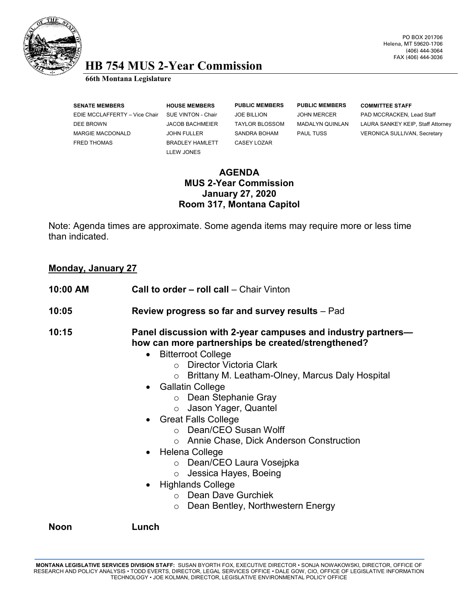

### PO BOX 201706 Helena, MT 59620-1706 (406) 444-3064 FAX (406) 444-3036

# **HB 754 MUS 2-Year Commission 66th Montana Legislature**

| <b>SENATE MEMBERS</b>         | <b>HOUSE N</b> |
|-------------------------------|----------------|
| EDIE MCCLAFFERTY - Vice Chair | SUE VINT       |
| DEE BROWN                     | JACOB B        |
| <b>MARGIE MACDONALD</b>       | <b>JOHN FU</b> |
| <b>FRED THOMAS</b>            | <b>BRADLEY</b> |
|                               |                |

LLEW JONES

**SENATE MEMBERS HOUSE MEMBERS PUBLIC MEMBERS PUBLIC MEMBERS COMMITTEE STAFF** Y HAMLETT CASEY LOZAR

FON - Chair do BILLION JOHN MERCER PAD MCCRACKEN, Lead Staff ACHMEIER TAYLOR BLOSSOM MADALYN QUINLAN LAURA SANKEY KEIP, Staff Attorney **ILLER SANDRA BOHAM PAUL TUSS VERONICA SULLIVAN, Secretary** 

### **AGENDA MUS 2-Year Commission January 27, 2020 Room 317, Montana Capitol**

Note: Agenda times are approximate. Some agenda items may require more or less time than indicated.

## **Monday, January 27**

| 10:00 AM | <b>Call to order – roll call – Chair Vinton</b>                                                                                                                                                                                                                                                                                                                                                                                                                                                                                                                                                                                        |
|----------|----------------------------------------------------------------------------------------------------------------------------------------------------------------------------------------------------------------------------------------------------------------------------------------------------------------------------------------------------------------------------------------------------------------------------------------------------------------------------------------------------------------------------------------------------------------------------------------------------------------------------------------|
| 10:05    | <b>Review progress so far and survey results</b> – Pad                                                                                                                                                                                                                                                                                                                                                                                                                                                                                                                                                                                 |
| 10:15    | Panel discussion with 2-year campuses and industry partners—<br>how can more partnerships be created/strengthened?<br><b>Bitterroot College</b><br>$\bullet$<br>○ Director Victoria Clark<br>Brittany M. Leatham-Olney, Marcus Daly Hospital<br>$\circ$<br>• Gallatin College<br>○ Dean Stephanie Gray<br>o Jason Yager, Quantel<br>• Great Falls College<br>○ Dean/CEO Susan Wolff<br>○ Annie Chase, Dick Anderson Construction<br>• Helena College<br>○ Dean/CEO Laura Vosejpka<br>Jessica Hayes, Boeing<br>$\circ$<br><b>Highlands College</b><br>$\bullet$<br>○ Dean Dave Gurchiek<br>Dean Bentley, Northwestern Energy<br>$\circ$ |

**Noon Lunch**

**MONTANA LEGISLATIVE SERVICES DIVISION STAFF:** SUSAN BYORTH FOX, EXECUTIVE DIRECTOR • SONJA NOWAKOWSKI, DIRECTOR, OFFICE OF RESEARCH AND POLICY ANALYSIS • TODD EVERTS, DIRECTOR, LEGAL SERVICES OFFICE • DALE GOW, CIO, OFFICE OF LEGISLATIVE INFORMATION TECHNOLOGY • JOE KOLMAN, DIRECTOR, LEGISLATIVE ENVIRONMENTAL POLICY OFFICE